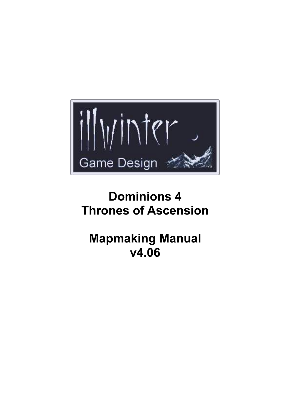

# **Dominions 4 Thrones of Ascension**

# **Mapmaking Manual v4.06**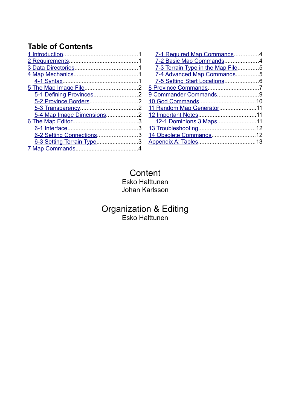## **Table of Contents**

| 6-2 Setting Connections3  |  |
|---------------------------|--|
| 6-3 Setting Terrain Type3 |  |
|                           |  |
|                           |  |

| 7-1 Required Map Commands4        |  |
|-----------------------------------|--|
| 7-2 Basic Map Commands4           |  |
| 7-3 Terrain Type in the Map File5 |  |
| 7-4 Advanced Map Commands5        |  |
|                                   |  |
|                                   |  |
| 9 Commander Commands9             |  |
|                                   |  |
| 11 Random Map Generator11         |  |
|                                   |  |
| 12-1 Dominions 3 Maps11           |  |
|                                   |  |
| 14 Obsolete Commands12            |  |
|                                   |  |
|                                   |  |

### **Content** Esko Halttunen Johan Karlsson

## Organization & Editing Esko Halttunen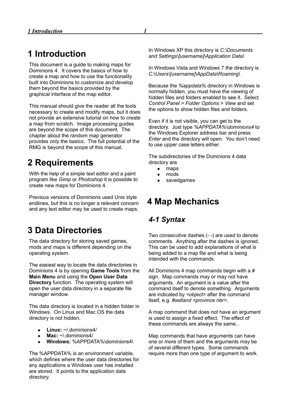## <span id="page-2-0"></span>**1 Introduction**

This document is a guide to making maps for Dominions 4. It covers the basics of how to create a map and how to use the functionality built into Dominions to customize and develop them beyond the basics provided by the graphical interface of the map editor.

This manual should give the reader all the tools necessary to create and modify maps, but it does not provide an extensive tutorial on how to create a map from scratch. Image processing guides are beyond the scope of this document. The chapter about the random map generator provides only the basics. The full potential of the RMG is beyond the scope of this manual.

## <span id="page-2-4"></span>**2 Requirements**

With the help of a simple text editor and a paint program like *Gimp* or *Photoshop* it is possible to create new maps for Dominions 4.

Previous versions of Dominions used Unix style endlines, but this is no longer a relevant concern and any text editor may be used to create maps.

## <span id="page-2-3"></span>**3 Data Directories**

The data directory for storing saved games, mods and maps is different depending on the operating system.

The easiest way to locate the data directories in Dominions 4 is by opening **Game Tools** from the **Main Menu** and using the **Open User Data Directory** function. The operating system will open the user data directory in a separate file manager window.

The data directory is located in a hidden folder in Windows. On Linux and Mac OS the data directory is not hidden.

- **Linux:** ~/.dominions4/
- **Mac:** ~/.dominions4/
- **Windows:** %APPDATA%\dominions4\

The %APPDATA% is an environment variable, which defines where the user data directories for any applications a Windows user has installed are stored. It points to the application data directory.

In Windows XP this directory is *C:\Documents and Settings\[username]\Application Data\*

In Windows Vista and Windows 7 the directory is *C:\Users\[username]\AppData\Roaming\*

Because the *%appdata%* directory in Windows is normally hidden, you must have the viewing of hidden files and folders enabled to see it. Select *Control Panel > Folder Options > View* and set the options to show hidden files and folders.

Even if it is not visible, you can get to the directory. Just type *%APPDATA%\dominions4* to the Windows Explorer address bar and press *Enter* and the directory will open. You don't need to use upper case letters either.

The subdirectories of the Dominions 4 data directory are

- $\leftarrow$  maps
- mods
- savedgames

## <span id="page-2-2"></span>**4 Map Mechanics**

### <span id="page-2-1"></span>*4-1 Syntax*

Two consecutive dashes (- -) are used to denote comments. Anything after the dashes is ignored. This can be used to add explanations of what is being added to a map file and what is being intended with the commands.

All Dominions 4 map commands begin with a # sign. Map commands may or may not have arguments. An argument is a value after the command itself to denote something. Arguments are indicated by *<object>* after the command itself, e.g. *#setland <province nbr>*.

A map command that does not have an argument is used to assign a fixed effect. The effect of these commands are always the same..

Map commands that have arguments can have one or more of them and the arguments may be of several different types. Some commands require more than one type of argument to work.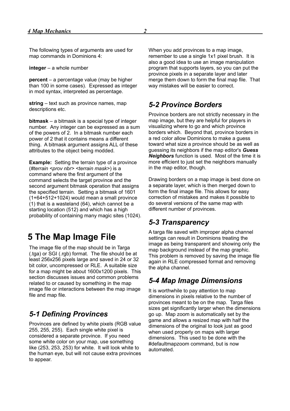The following types of arguments are used for map commands in Dominions 4:

**integer** – a whole number

**percent** – a percentage value (may be higher than 100 in some cases). Expressed as integer in mod syntax, interpreted as percentage.

**string** – text such as province names, map descriptions etc.

**bitmask** – a bitmask is a special type of integer number. Any integer can be expressed as a sum of the powers of 2. In a bitmask number each power of 2 that it contains means a different thing. A bitmask argument assigns ALL of these attributes to the object being modded.

**Example:** Setting the terrain type of a province (*#terrain <prov nbr> <terrain mask>*) is a command where the first argument of the command selects the target province and the second argument bitmask operation that assigns the specified terrain. Setting a bitmask of 1601 (1+64+512+1024) would mean a small province (1) that is a wasteland (64), which cannot be a starting location (512) and which has a high probability of containing many magic sites (1024).

## <span id="page-3-4"></span>**5 The Map Image File**

The image file of the map should be in Targa (.tga) or SGI (.rgb) format. The file should be at least 256x256 pixels large and saved in 24 or 32 bit color, uncompressed or RLE. A suitable size for a map might be about 1600x1200 pixels. This section discusses issues and common problems related to or caused by something in the map image file or interactions between the map image file and map file.

### <span id="page-3-3"></span>*5-1 Defining Provinces*

Provinces are defined by white pixels (RGB value 255, 255, 255). Each single white pixel is considered a separate province. If you need some white color on your map, use something like (253, 253, 253) for white. It will look white to the human eye, but will not cause extra provinces to appear.

When you add provinces to a map image, remember to use a single 1x1 pixel brush. It is also a good idea to use an image manipulation program that supports layers, so you can put the province pixels in a separate layer and later merge them down to form the final map file. That way mistakes will be easier to correct.

### <span id="page-3-2"></span>*5-2 Province Borders*

Province borders are not strictly necessary in the map image, but they are helpful for players in visualizing where to go and which province borders which. Beyond that, province borders in a red color allow Dominions to make a guess toward what size a province should be as well as guessing its neighbors if the map editor's *Guess Neighbors* function is used. Most of the time it is more efficient to just set the neighbors manually in the map editor, though.

Drawing borders on a map image is best done on a separate layer, which is then merged down to form the final image file. This allows for easy correction of mistakes and makes it possible to do several versions of the same map with different number of provinces.

### <span id="page-3-1"></span>*5-3 Transparency*

A targa file saved with improper alpha channel settings can result in Dominions treating the image as being transparent and showing only the map background instead of the map graphic. This problem is removed by saving the image file again in RLE compressed format and removing the alpha channel.

### <span id="page-3-0"></span>*5-4 Map Image Dimensions*

It is worthwhile to pay attention to map dimensions in pixels relative to the number of provinces meant to be on the map. Targa files sizes get significantly larger when the dimensions go up. Map zoom is automatically set by the game and allows a resized map with half the dimensions of the original to look just as good when used properly on maps with larger dimensions. This used to be done with the #defaultmapzoom command, but is now automated.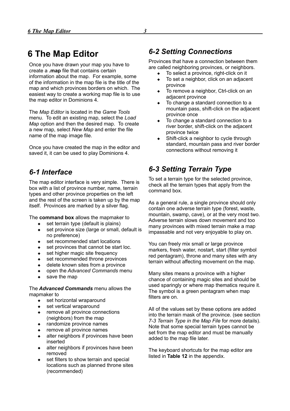<span id="page-4-3"></span>Once you have drawn your map you have to create a **.map** file that contains certain information about the map. For example, some of the information in the map file is the title of the map and which provinces borders on which. The easiest way to create a working map file is to use the map editor in Dominions 4.

The *Map Editor* is located in the *Game Tools* menu. To edit an existing map, select the *Load Map* option and then the desired map. To create a new map, select *New Map* and enter the file name of the map image file.

Once you have created the map in the editor and saved it, it can be used to play Dominions 4.

## <span id="page-4-2"></span>*6-1 Interface*

The map editor interface is very simple. There is box with a list of province number, name, terrain types and other province properties on the left and the rest of the screen is taken up by the map itself. Provinces are marked by a silver flag.

The **command box** allows the mapmaker to

- set terrain type (default is plains)
- set province size (large or small, default is no preference)
- set recommended start locations
- set provinces that cannot be start loc.
- set higher magic site frequency
- set recommended throne provinces
- delete known sites from a province
- open the *Advanced Commands* menu
- save the map

The *Advanced Commands* menu allows the mapmaker to

- set horizontal wraparound
- set vertical wraparound
- remove all province connections (neighbors) from the map
- randomize province names
- remove all province names
- alter neighbors if provinces have been inserted
- alter neighbors if provinces have been removed
- set filters to show terrain and special locations such as planned throne sites (recommended)

### <span id="page-4-1"></span>*6-2 Setting Connections*

Provinces that have a connection between them are called neighboring provinces, or neighbors.

- To select a province, right-click on it
- To set a neighbor, click on an adjacent province
- To remove a neighbor, Ctrl-click on an adjacent province
- To change a standard connection to a mountain pass, shift-click on the adjacent province once
- To change a standard connection to a river border, shift-click on the adjacent province twice
- Shift-click a neighbor to cycle through standard, mountain pass and river border connections without removing it

## <span id="page-4-0"></span>*6-3 Setting Terrain Type*

To set a terrain type for the selected province, check all the terrain types that apply from the command box.

As a general rule, a single province should only contain one adverse terrain type (forest, waste, mountain, swamp, cave), or at the very most two. Adverse terrain slows down movement and too many provinces with mixed terrain make a map impassable and not very enjoyable to play on.

You can freely mix small or large province markers, fresh water, nostart, start (filter symbol red pentagram), throne and many sites with any terrain without affecting movement on the map.

Many sites means a province with a higher chance of containing magic sites and should be used sparingly or where map thematics require it. The symbol is a green pentagram when map filters are on.

All of the values set by these options are added into the terrain mask of the province. (see section *7-3 Terrain Type in the Map File* for more details). Note that some special terrain types cannot be set from the map editor and must be manually added to the map file later.

The keyboard shortcuts for the map editor are listed in **Table 12** in the appendix.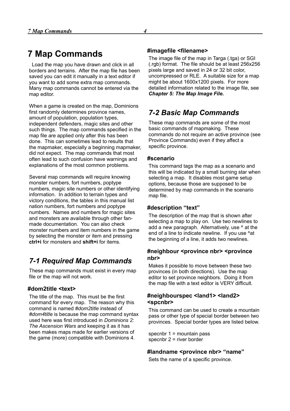## <span id="page-5-2"></span>**7 Map Commands**

 Load the map you have drawn and click in all borders and terrains. After the map file has been saved you can edit it manually in a text editor if you want to add some extra map commands. Many map commands cannot be entered via the map editor.

When a game is created on the map, Dominions first randomly determines province names, amount of population, population types, independent defenders, magic sites and other such things. The map commands specified in the map file are applied only after this has been done. This can sometimes lead to results that the mapmaker, especially a beginning mapmaker, did not expect. The map commands that most often lead to such confusion have warnings and explanations of the most common problems.

Several map commands will require knowing monster numbers, fort numbers, poptype numbers, magic site numbers or other identifying information. In addition to terrain types and victory conditions, the tables in this manual list nation numbers, fort numbers and poptype numbers. Names and numbers for magic sites and monsters are available through other fanmade documentation. You can also check monster numbers and item numbers in the game by selecting the monster or item and pressing **ctrl+i** for monsters and **shift+i** for items.

## <span id="page-5-1"></span>*7-1 Required Map Commands*

These map commands must exist in every map file or the map will not work.

#### **#dom2title <text>**

The title of the map. This must be the first command for every map. The reason why this command is named *#dom2title* instead of *#dom4title* is because the map command syntax used here was first introduced in *Dominions 2: The Ascension Wars* and keeping it as it has been makes maps made for earlier versions of the game (more) compatible with Dominions 4.

#### **#imagefile <filename>**

The image file of the map in Targa (.tga) or SGI (.rgb) format. The file should be at least 256x256 pixels large and saved in 24 or 32 bit color, uncompressed or RLE. A suitable size for a map might be about 1600x1200 pixels. For more detailed information related to the image file, see *Chapter 5: The Map Image File.*

## <span id="page-5-0"></span>*7-2 Basic Map Commands*

These map commands are some of the most basic commands of mapmaking. These commands do not require an active province (see Province Commands) even if they affect a specific province.

#### **#scenario**

This command tags the map as a scenario and this will be indicated by a small burning star when selecting a map. It disables most game setup options, because those are supposed to be determined by map commands in the scenario map file.

#### **#description "text"**

The description of the map that is shown after selecting a map to play on. Use two newlines to add a new paragraph. Alternatively, use ^ at the end of a line to indicate newline. If you use ^at the beginning of a line, it adds two newlines.

#### **#neighbour <province nbr> <province nbr>**

Makes it possible to move between these two provinces (in both directions). Use the map editor to set province neighbors. Doing it from the map file with a text editor is VERY difficult.

#### **#neighbourspec <land1> <land2> <spcnbr>**

This command can be used to create a mountain pass or other type of special border between two provinces. Special border types are listed below.

specnbr 1 = mountain pass specnbr 2 = river border

#### **#landname <province nbr> "name"**

Sets the name of a specific province.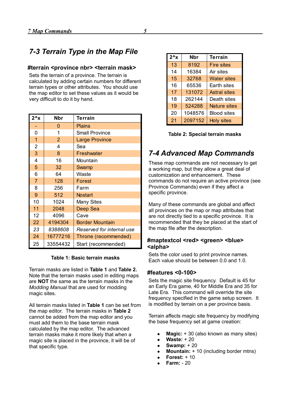## <span id="page-6-1"></span>*7-3 Terrain Type in the Map File*

#### **#terrain <province nbr> <terrain mask>**

Sets the terrain of a province. The terrain is calculated by adding certain numbers for different terrain types or other attributes. You should use the map editor to set these values as it would be very difficult to do it by hand.

| $2^{\lambda}x$ | <b>Nbr</b>     | <b>Terrain</b>            | 21<br>2097152<br><b>Holy sites</b>                         |  |  |
|----------------|----------------|---------------------------|------------------------------------------------------------|--|--|
|                | $\Omega$       | <b>Plains</b>             |                                                            |  |  |
| 0              | 1              | <b>Small Province</b>     | Table 2: Special terrain ma                                |  |  |
| 1              | $\overline{2}$ | <b>Large Province</b>     |                                                            |  |  |
| $\overline{2}$ | 4              | Sea                       |                                                            |  |  |
| 3              | 8              | Freshwater                | 7-4 Advanced Map Com                                       |  |  |
| 4              | 16             | Mountain                  | These map commands are not neces                           |  |  |
| 5              | 32             | Swamp                     | a working map, but they allow a grea                       |  |  |
| 6              | 64             | Waste                     | customization and enhancement. Th                          |  |  |
| $\overline{7}$ | 128            | Forest                    | commands do not require an active po                       |  |  |
| 8              | 256            | Farm                      | Province Commands) even if they af                         |  |  |
| 9              | 512            | <b>Nostart</b>            | specific province.                                         |  |  |
| 10             | 1024           | <b>Many Sites</b>         | Many of these commands are global                          |  |  |
| 11             | 2048           | Deep Sea                  | all provinces on the map or map attri                      |  |  |
| 12             | 4096           | Cave                      | are not directly tied to a specific prov                   |  |  |
| 22             | 4194304        | <b>Border Mountain</b>    | recommended that they be placed at                         |  |  |
| 23             | 8388608        | Reserved for internal use | the map file after the description.                        |  |  |
| 24             | 16777216       | Throne (recommended)      |                                                            |  |  |
| 25             | 33554432       | Start (recommended)       | #maptextcol <red> <green> <br/>b<br/>/alnha/</green></red> |  |  |

#### **Table 1: Basic terrain masks**

Terrain masks are listed in **Table 1** and **Table 2.** Note that the terrain masks used in editing maps are **NOT** the same as the terrain masks in the *Modding Manual* that are used for modding magic sites.

All terrain masks listed in **Table 1** can be set from the map editor. The terrain masks in **Table 2** cannot be added from the map editor and you must add them to the base terrain mask calculated by the map editor. The advanced terrain masks make it more likely that when a magic site is placed in the province, it will be of that specific type.

| $2^{\lambda}x$ | Nbr     | <b>Terrain</b>      |
|----------------|---------|---------------------|
| 13             | 8192    | <b>Fire sites</b>   |
| 14             | 16384   | Air sites           |
| 15             | 32768   | <b>Water sites</b>  |
| 16             | 65536   | Earth sites         |
| 17             | 131072  | <b>Astral sites</b> |
| 18             | 262144  | Death sites         |
| 19             | 524288  | <b>Nature sites</b> |
| 20             | 1048576 | <b>Blood sites</b>  |
| 21             | 2097152 | <b>Holy sites</b>   |

|  | Table 2: Special terrain masks |  |  |
|--|--------------------------------|--|--|
|--|--------------------------------|--|--|

### <span id="page-6-0"></span>*7-4 Advanced Map Commands*

These map commands are not necessary to get a working map, but they allow a great deal of customization and enhancement. These commands do not require an active province (see Province Commands) even if they affect a specific province.

Many of these commands are global and affect all provinces on the map or map attributes that are not directly tied to a specific province. It is recommended that they be placed at the start of the map file after the description.

#### #maptextcol <red> <green> <br/> <br/>blue> **<alpha>**

Sets the color used to print province names. Each value should be between 0.0 and 1.0.

#### **#features <0-100>**

Sets the magic site frequency. Default is 45 for an Early Era game, 40 for Middle Era and 35 for Late Era. This command will override the site frequency specified in the game setup screen. It is modified by terrain on a per province basis.

Terrain affects magic site frequency by modifying the base frequency set at game creation:

- **Magic:** + 30 (also known as many sites)
- **Waste:** + 20
- **Swamp:** + 20
- **Mountain:** + 10 (including border mtns)
- **Forest:** + 10
- **Farm:** 20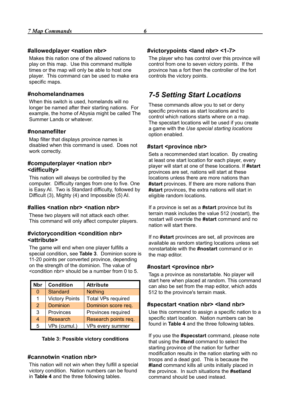#### **#allowedplayer <nation nbr>**

Makes this nation one of the allowed nations to play on this map. Use this command multiple times or the map will only be able to host one player. This command can be used to make era specific maps.

#### **#nohomelandnames**

When this switch is used, homelands will no longer be named after their starting nations. For example, the home of Abysia might be called The Summer Lands or whatever.

#### **#nonamefilter**

Map filter that displays province names is disabled when this command is used. Does not work correctly.

#### **#computerplayer <nation nbr> <difficulty>**

This nation will always be controlled by the computer. Difficulty ranges from one to five. One is Easy AI. Two is Standard difficulty, followed by Difficult (3), Mighty (4) and Impossible (5) AI.

#### **#allies <nation nbr> <nation nbr>**

These two players will not attack each other. This command will only affect computer players.

#### **#victorycondition <condition nbr> <attribute>**

The game will end when one player fulfills a special condition, see **Table 3**. Dominion score is 11-20 points per converted province, depending on the strength of the dominion. The value of <condition nbr> should be a number from 0 to 5.

| <b>Nbr</b> | <b>Condition</b>      | <b>Attribute</b>          |
|------------|-----------------------|---------------------------|
| $\Omega$   | <b>Standard</b>       | <b>Nothing</b>            |
| 1          | <b>Victory Points</b> | <b>Total VPs required</b> |
| 2          | <b>Dominion</b>       | Dominion score req.       |
| 3          | Provinces             | Provinces required        |
| 4          | Research              | Research points req.      |
| 5          | VPs (cumul.)          | VPs every summer          |

#### **Table 3: Possible victory conditions**

#### **#cannotwin <nation nbr>**

This nation will not win when they fulfill a special victory condition. Nation numbers can be found in **Table 4** and the three following tables.

#### **#victorypoints <land nbr> <1-7>**

The player who has control over this province will control from one to seven victory points. If the province has a fort then the controller of the fort controls the victory points.

### <span id="page-7-0"></span>*7-5 Setting Start Locations*

These commands allow you to set or deny specific provinces as start locations and to control which nations starts where on a map. The specstart locations will be used if you create a game with the *Use special starting locations* option enabled.

#### **#start <province nbr>**

Sets a recommended start location. By creating at least one start location for each player, every player will start at one of these locations. If **#start** provinces are set, nations will start at these locations unless there are more nations than **#start** provinces. If there are more nations than **#start** provinces, the extra nations will start in eligible random locations.

If a province is set as a **#start** province but its terrain mask includes the value 512 (nostart), the nostart will override the **#start** command and no nation will start there.

If no **#start** provinces are set, all provinces are available as random starting locations unless set nonstartable with the **#nostart** command or in the map editor.

#### **#nostart <province nbr>**

Tags a province as nonstartable. No player will start here when placed at random. This command can also be set from the map editor, which adds 512 to the province's terrain mask.

#### **#specstart <nation nbr> <land nbr>**

Use this command to assign a specific nation to a specific start location. Nation numbers can be found in **Table 4** and the three following tables.

If you use the **#specstart** command, please note that using the **#land** command to select the starting province of the nation for further modification results in the nation starting with no troops and a dead god. This is because the **#land** command kills all units initially placed in the province. In such situations the **#setland** command should be used instead.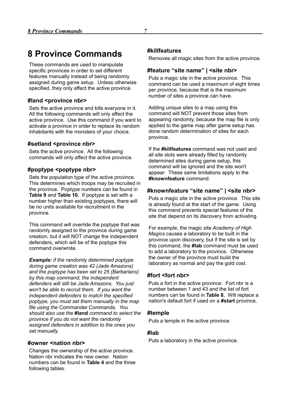## <span id="page-8-0"></span>**8 Province Commands**

These commands are used to manipulate specific provinces in order to set different features manually instead of being randomly assigned during game setup. Unless otherwise specified, they only affect the active province.

#### **#land <province nbr>**

Sets the active province and kills everyone in it. All the following commands will only affect the active province. Use this command if you want to activate a province in order to replace its random inhabitants with the monsters of your choice.

#### **#setland <province nbr>**

Sets the active province. All the following commands will only affect the active province.

#### **#poptype <poptype nbr>**

Sets the population type of the active province. This determines which troops may be recruited in the province. Poptype numbers can be found in **Table 9** and **Table 10.** If poptype is set with a number higher than existing poptypes, there will be no units available for recruitment in the province.

This command will override the poptype that was randomly assigned to the province during game creation, but it will NOT change the independent defenders, which will be of the poptype this command overwrote.

*Example: if the randomly determined poptype during game creation was 42 (Jade Amazons) and the poptype has been set to 25 (Barbarians) by this map command, the independent defenders will still be Jade Amazons. You just won't be able to recruit them. If you want the independent defenders to match the specified poptype, you must set them manually in the map file using the* Commander Commands*. You should also use the* **#land** *command to select the province if you do not want the randomly assigned defenders in addition to the ones you set manually.*

#### **#owner <nation nbr>**

Changes the ownership of the active province. Nation nbr indicates the new owner. Nation numbers can be found in **Table 4** and the three following tables.

#### **#killfeatures**

Removes all magic sites from the active province.

#### **#feature "site name" | <site nbr>**

Puts a magic site in the active province. This command can be used a maximum of eight times per province, because that is the maximum number of sites a province can have.

Adding unique sites to a map using this command will NOT prevent those sites from appearing randomly, because the map file is only applied to the game map after game setup has done random determination of sites for each province.

If the **#killfeatures** command was not used and all site slots were already filled by randomly determined sites during game setup, this command will be ignored and the site won't appear. These same limitations apply to the **#knownfeature** command.

#### **#knownfeature "site name" | <site nbr>**

Puts a magic site in the active province. This site is already found at the start of the game. Using this command prevents special features of the site that depend on its discovery from activating.

For example, the magic site *Academy of High Magics* causes a laboratory to be built in the province upon discovery, but if the site is set by this command, the **#lab** command must be used to add a laboratory to the province. Otherwise the owner of the province must build the laboratory as normal and pay the gold cost.

#### **#fort <fort nbr>**

Puts a fort in the active province. Fort nbr is a number between 1 and 43 and the list of fort numbers can be found in **Table 8.** Will replace a nation's default fort if used on a **#start** province.

#### **#temple**

Puts a temple in the active province.

#### **#lab**

Puts a laboratory in the active province.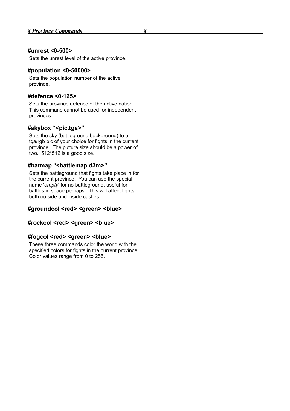#### **#unrest <0-500>**

Sets the unrest level of the active province.

#### **#population <0-50000>**

Sets the population number of the active province.

#### **#defence <0-125>**

Sets the province defence of the active nation. This command cannot be used for independent provinces.

#### **#skybox "<pic.tga>"**

Sets the sky (battleground background) to a tga/rgb pic of your choice for fights in the current province. The picture size should be a power of two. 512\*512 is a good size.

#### **#batmap "<battlemap.d3m>"**

Sets the battleground that fights take place in for the current province. You can use the special name '*empty*' for no battleground, useful for battles in space perhaps. This will affect fights both outside and inside castles.

#### #groundcol <red> <green> <br/>blue>

#### **#rockcol <red> <green> <blue>**

#### **#fogcol <red> <green> <blue>**

These three commands color the world with the specified colors for fights in the current province. Color values range from 0 to 255.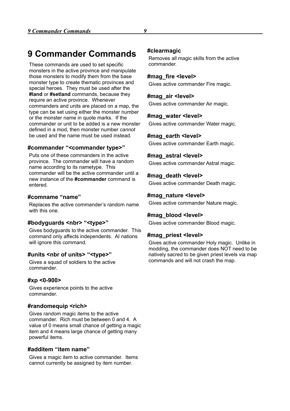## <span id="page-10-0"></span>**9 Commander Commands**

These commands are used to set specific monsters in the active province and manipulate those monsters to modify them from the base monster type to create thematic provinces and special heroes. They must be used after the **#land** or **#setland** commands, because they require an active province. Whenever commanders and units are placed on a map, the type can be set using either the monster number or the monster name in quote marks. If the commander or unit to be added is a new monster defined in a mod, then monster number *cannot* be used and the name must be used instead.

#### **#commander "<commander type>"**

Puts one of these commanders in the active province. The commander will have a random name according to its nametype. This commander will be the active commander until a new instance of the **#commander** command is entered.

#### **#comname "name"**

Replaces the active commander's random name with this one.

#### **#bodyguards <nbr> "<type>"**

Gives bodyguards to the active commander. This command only affects independents. AI nations will ignore this command.

#### **#units <nbr of units> "<type>"**

Gives a squad of soldiers to the active commander.

#### **#xp <0-900>**

Gives experience points to the active commander.

#### **#randomequip <rich>**

Gives random magic items to the active commander. Rich must be between 0 and 4. A value of 0 means small chance of getting a magic item and 4 means large chance of getting many powerful items.

#### **#additem "item name"**

Gives a magic item to active commander. Items cannot currently be assigned by item number.

#### **#clearmagic**

Removes all magic skills from the active commander.

#### **#mag\_fire <level>**

Gives active commander Fire magic.

#### **#mag\_air <level>**

Gives active commander Air magic.

#### **#mag\_water <level>**

Gives active commander Water magic.

#### **#mag\_earth <level>**

Gives active commander Earth magic.

#### **#mag\_astral <level>**

Gives active commander Astral magic.

#### **#mag\_death <level>**

Gives active commander Death magic.

#### **#mag\_nature <level>**

Gives active commander Nature magic.

#### **#mag\_blood <level>**

Gives active commander Blood magic.

#### **#mag\_priest <level>**

Gives active commander Holy magic. Unlike in modding, the commander does NOT need to be natively sacred to be given priest levels via map commands and will not crash the map.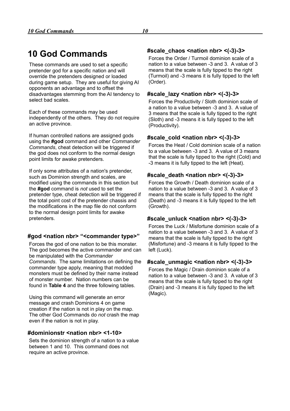## <span id="page-11-0"></span>**10 God Commands**

These commands are used to set a specific pretender god for a specific nation and will override the pretenders designed or loaded during game setup. They are useful for giving AI opponents an advantage and to offset the disadvantages stemming from the AI tendency to select bad scales.

Each of these commands may be used independently of the others. They do not require an active province.

If human controlled nations are assigned gods using the **#god** command and other *Commander Commands*, cheat detection will be triggered if the god does not conform to the normal design point limits for awake pretenders.

If only some attributes of a nation's pretender, such as Dominion strength and scales, are modified using the commands in this section but the **#god** command is *not* used to set the pretender type, cheat detection will be triggered if the total point cost of the pretender chassis and the modifications in the map file do not conform to the normal design point limits for awake pretenders.

#### **#god <nation nbr> "<commander type>"**

Forces the god of one nation to be this monster. The god becomes the active commander and can be manipulated with the *Commander Commands*. The same limitations on defining the commander type apply, meaning that modded monsters must be defined by their name instead of monster number. Nation numbers can be found in **Table 4** and the three following tables.

Using this command will generate an error message and crash Dominions 4 on game creation if the nation is not in play on the map. The other God Commands do *not* crash the map even if the nation is not in play.

#### **#dominionstr <nation nbr> <1-10>**

Sets the dominion strength of a nation to a value between 1 and 10. This command does not require an active province.

#### **#scale\_chaos <nation nbr> <(-3)-3>**

Forces the Order / Turmoil dominion scale of a nation to a value between -3 and 3. A value of 3 means that the scale is fully tipped to the right (Turmoil) and -3 means it is fully tipped to the left (Order).

#### **#scale\_lazy <nation nbr> <(-3)-3>**

Forces the Productivity / Sloth dominion scale of a nation to a value between -3 and 3. A value of 3 means that the scale is fully tipped to the right (Sloth) and -3 means it is fully tipped to the left (Productivity).

#### **#scale\_cold <nation nbr> <(-3)-3>**

Forces the Heat / Cold dominion scale of a nation to a value between -3 and 3. A value of 3 means that the scale is fully tipped to the right (Cold) and -3 means it is fully tipped to the left (Heat).

#### **#scale\_death <nation nbr> <(-3)-3>**

Forces the Growth / Death dominion scale of a nation to a value between -3 and 3. A value of 3 means that the scale is fully tipped to the right (Death) and -3 means it is fully tipped to the left (Growth).

#### **#scale\_unluck <nation nbr> <(-3)-3>**

Forces the Luck / Misfortune dominion scale of a nation to a value between -3 and 3. A value of 3 means that the scale is fully tipped to the right (Misfortune) and -3 means it is fully tipped to the left (Luck).

#### **#scale\_unmagic <nation nbr> <(-3)-3>**

Forces the Magic / Drain dominion scale of a nation to a value between -3 and 3. A value of 3 means that the scale is fully tipped to the right (Drain) and -3 means it is fully tipped to the left (Magic).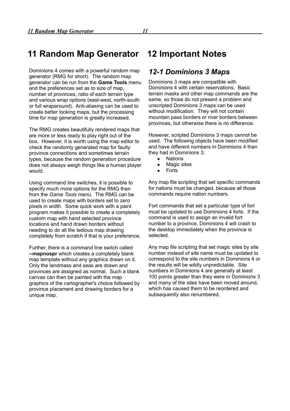<span id="page-12-2"></span>Dominions 4 comes with a powerful random map generator (RMG for short). The random map generator can be run from the **Game Tools** menu and the preferences set as to size of map, number of provinces, ratio of each terrain type and various wrap options (east-west, north-south or full wraparound). Anti-aliasing can be used to create better looking maps, but the processing time for map generation is greatly increased.

The RMG creates beautifully rendered maps that are more or less ready to play right out of the box. However, it is worth using the map editor to check the randomly generated map for faulty province connections and sometimes terrain types, because the random generation procedure does not always weigh things like a human player would.

Using command line switches, it is possible to specify much more options for the RMG than from the *Game Tools* menu. The RMG can be used to create maps with borders set to zero pixels in width. Some quick work with a paint program makes it possible to create a completely custom map with hand selected province locations and hand drawn borders without needing to do all the tedious map drawing completely from scratch if that is your preference.

Further, there is a command line switch called **--mapnospr** which creates a completely blank map template without any graphics drawn on it. Only the landmass and seas are drawn and provinces are assigned as normal. Such a blank canvas can then be painted with the map graphics of the cartographer's choice followed by province placement and drawing borders for a unique map.

## <span id="page-12-1"></span>**12 Important Notes**

### <span id="page-12-0"></span>*12-1 Dominions 3 Maps*

Dominions 3 maps are compatible with Dominions 4 with certain reservations. Basic terrain masks and other map commands are the same, so those do not present a problem and unscripted Dominions 3 maps can be used without modification. They will not contain mountain pass borders or river borders between provinces, but otherwise there is no difference.

However, scripted Dominions 3 maps cannot be used. The following objects have been modified and have different numbers in Dominions 4 than they had in Dominions 3:

- Nations
- Magic sites
- Forts

Any map file scripting that set specific commands for nations must be changed, because all those commands require nation numbers.

Fort commands that set a particular type of fort must be updated to use Dominions 4 forts. If the command is used to assign an invalid fort number to a province, Dominions 4 will crash to the desktop immediately when the province is selected.

Any map file scripting that set magic sites by site number instead of site name must be updated to correspond to the site numbers in Dominions 4 or the results will be wildly unpredictable. Site numbers in Dominions 4 are generally at least 100 points greater than they were in Dominions 3 and many of the sites have been moved around, which has caused them to be reordered and subsequently also renumbered.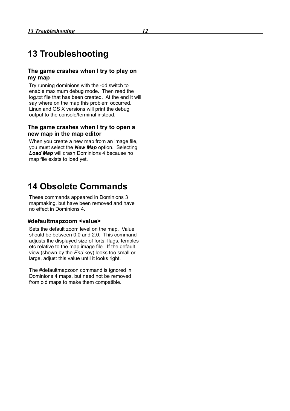## <span id="page-13-1"></span>**13 Troubleshooting**

#### **The game crashes when I try to play on my map**

Try running dominions with the -dd switch to enable maximum debug mode. Then read the log.txt file that has been created. At the end it will say where on the map this problem occurred. Linux and OS X versions will print the debug output to the console/terminal instead.

#### **The game crashes when I try to open a new map in the map editor**

When you create a new map from an image file, you must select the *New Map* option. Selecting *Load Map* will crash Dominions 4 because no map file exists to load yet.

## <span id="page-13-0"></span>**14 Obsolete Commands**

These commands appeared in Dominions 3 mapmaking, but have been removed and have no effect in Dominions 4.

#### **#defaultmapzoom <value>**

Sets the default zoom level on the map. Value should be between 0.0 and 2.0. This command adjusts the displayed size of forts, flags, temples etc relative to the map image file. If the default view (shown by the *End* key) looks too small or large, adjust this value until it looks right.

The #defaultmapzoon command is ignored in Dominions 4 maps, but need not be removed from old maps to make them compatible.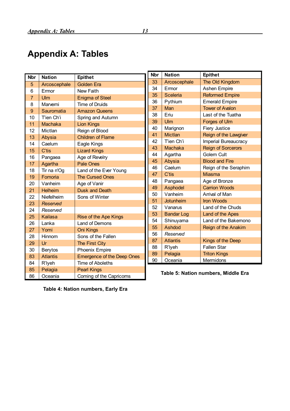## <span id="page-14-0"></span>**Appendix A: Tables**

| <b>Nbr</b>     | <b>Nation</b>   | <b>Epithet</b>                    | <b>Nbr</b>                          | <b>Nation</b>     | Epithet                   |
|----------------|-----------------|-----------------------------------|-------------------------------------|-------------------|---------------------------|
| 5              | Arcoscephale    | <b>Golden Era</b>                 | 33                                  | Arcoscephale      | The Old Kingdom           |
| 6              | Ermor           | New Faith                         | 34                                  | Ermor             | Ashen Empire              |
| $\overline{7}$ | Ulm             | <b>Enigma of Steel</b>            | 35                                  | <b>Sceleria</b>   | <b>Reformed Empire</b>    |
| 8              | Marverni        | <b>Time of Druids</b>             | 36                                  | Pythium           | <b>Emerald Empire</b>     |
| $\overline{9}$ | Sauromatia      | <b>Amazon Queens</b>              | 37                                  | Man               | <b>Tower of Avalon</b>    |
| 10             | Tien Ch'i       |                                   | 38                                  | Eriu              | Last of the Tuatha        |
| 11             | Machaka         | Spring and Autumn                 | 39                                  | Ulm               | Forges of Ulm             |
|                |                 | <b>Lion Kings</b>                 | 40                                  | Marignon          | <b>Fiery Justice</b>      |
| 12             | Mictlan         | Reign of Blood                    | 41                                  | <b>Mictlan</b>    | Reign of the Lawgiver     |
| 13             | Abysia          | <b>Children of Flame</b>          | 42                                  | Tien Ch'i         | Imperial Bureaucracy      |
| 14             | Caelum          | Eagle Kings                       | 43                                  | Machaka           | <b>Reign of Sorcerors</b> |
| 15             | C'tis           | <b>Lizard Kings</b>               | 44                                  | Agartha           | Golem Cult                |
| 16             | Pangaea         | Age of Revelry                    | 45                                  | Abysia            | <b>Blood and Fire</b>     |
| 17             | Agartha         | <b>Pale Ones</b>                  | 46                                  | Caelum            | Reign of the Seraphim     |
| 18             | Tir na n'Og     | Land of the Ever Young            | 47                                  | C'tis             | <b>Miasma</b>             |
| 19             | Fomoria         | <b>The Cursed Ones</b>            | 48                                  | Pangaea           | Age of Bronze             |
| 20             | Vanheim         | Age of Vanir                      | 49                                  | Asphodel          | <b>Carrion Woods</b>      |
| 21             | Helheim         | Dusk and Death                    | 50                                  | Vanheim           | Arrival of Man            |
| 22             | Niefelheim      | Sons of Winter                    | 51                                  | <b>Jotunheim</b>  | <b>Iron Woods</b>         |
| 23             | Reserved        |                                   | 52                                  | Vanarus           | Land of the Chuds         |
| 24             | Reserved        |                                   | 53                                  | <b>Bandar Log</b> | Land of the Apes          |
| 25             | <b>Kailasa</b>  | <b>Rise of the Ape Kings</b>      | 54                                  | Shinuyama         | Land of the Bakemono      |
| 26             | Lanka           | Land of Demons                    | 55                                  | <b>Ashdod</b>     | Reign of the Anakim       |
| 27             | Yomi            | <b>Oni Kings</b>                  | 56                                  | Reserved          |                           |
| 28             | Hinnom          | Sons of the Fallen                | 87                                  | <b>Atlantis</b>   | Kings of the Deep         |
| 29             | <b>Ur</b>       | The First City                    | 88                                  | R'lyeh            | <b>Fallen Star</b>        |
| 30             | <b>Berytos</b>  | Phoenix Empire                    | 89                                  | Pelagia           | <b>Triton Kings</b>       |
| 83             | <b>Atlantis</b> | <b>Emergence of the Deep Ones</b> | 90                                  | Oceania           | Mermidons                 |
| 84             | R'lyeh          | Time of Aboleths                  |                                     |                   |                           |
| 85             | Pelagia         | <b>Pearl Kings</b>                |                                     |                   |                           |
| 86             | Oceania         | Coming of the Capricorns          | Table 5: Nation numbers, Middle Era |                   |                           |

**Table 4: Nation numbers, Early Era**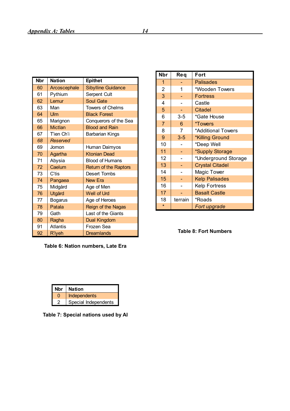| <b>Nbr</b> | <b>Nation</b>   | <b>Epithet</b>               |
|------------|-----------------|------------------------------|
| 60         | Arcoscephale    | <b>Sibylline Guidance</b>    |
| 61         | Pythium         | <b>Serpent Cult</b>          |
| 62         | Lemur           | <b>Soul Gate</b>             |
| 63         | Man             | <b>Towers of Chelms</b>      |
| 64         | Ulm             | <b>Black Forest</b>          |
| 65         | Marignon        | Conquerors of the Sea        |
| 66         | <b>Mictlan</b>  | <b>Blood and Rain</b>        |
| 67         | Tien Ch'i       | <b>Barbarian Kings</b>       |
| 68         | Reserved        |                              |
| 69         | Jomon           | Human Daimyos                |
| 70         | Agartha         | <b>Ktonian Dead</b>          |
| 71         | Abysia          | <b>Blood of Humans</b>       |
| 72         | Caelum          | <b>Return of the Raptors</b> |
| 73         | C'tis           | <b>Desert Tombs</b>          |
| 74         | Pangaea         | <b>New Era</b>               |
| 75         | Midgård         | Age of Men                   |
| 76         | Utgård          | <b>Well of Urd</b>           |
| 77         | <b>Bogarus</b>  | Age of Heroes                |
| 78         | Patala          | Reign of the Nagas           |
| 79         | Gath            | Last of the Giants           |
| 80         | Ragha           | Dual Kingdom                 |
| 91         | <b>Atlantis</b> | Frozen Sea                   |
| 92         | <b>R'lyeh</b>   | <b>Dreamlands</b>            |

|  |  | Table 6: Nation numbers, Late Era |  |  |
|--|--|-----------------------------------|--|--|
|--|--|-----------------------------------|--|--|

| <b>Nbr</b>     | <b>Req</b> | Fort                   |
|----------------|------------|------------------------|
| 1              |            | <b>Palisades</b>       |
| $\overline{2}$ | 1          | *Wooden Towers         |
| 3              |            | <b>Fortress</b>        |
| 4              |            | Castle                 |
| 5              |            | <b>Citadel</b>         |
| 6              | $3 - 5$    | *Gate House            |
| $\overline{7}$ | 6          | <i><b>*Towers</b></i>  |
| 8              | 7          | *Additional Towers     |
| 9              | $3 - 5$    | *Killing Ground        |
| 10             |            | *Deep Well             |
| 11             |            | *Supply Storage        |
| 12             |            | *Underground Storage   |
| 13             |            | <b>Crystal Citadel</b> |
| 14             |            | Magic Tower            |
| 15             |            | <b>Kelp Palisades</b>  |
| 16             |            | <b>Kelp Fortress</b>   |
| 17             |            | <b>Basalt Castle</b>   |
| 18             | terrain    | *Roads                 |
|                |            | Fort upgrade           |

#### **Table 8: Fort Numbers**

| Nbr | <b>Nation</b>        |
|-----|----------------------|
|     | Independents         |
|     | Special Independents |

**Table 7: Special nations used by AI**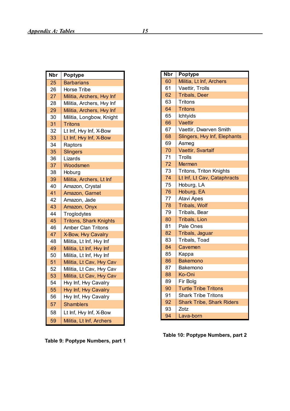| <b>Nbr</b> | <b>Poptype</b>                |
|------------|-------------------------------|
| 25         | <b>Barbarians</b>             |
| 26         | Horse Tribe                   |
| 27         | Militia, Archers, Hvy Inf     |
| 28         | Militia, Archers, Hvy Inf     |
| 29         | Militia, Archers, Hvy Inf     |
| 30         | Militia, Longbow, Knight      |
| 31         | Tritons                       |
| 32         | Lt Inf, Hvy Inf, X-Bow        |
| 33         | Lt Inf, Hvy Inf, X-Bow        |
| 34         | Raptors                       |
| 35         | <b>Slingers</b>               |
| 36         | Lizards                       |
| 37         | Woodsmen                      |
| 38         | Hoburg                        |
| 39         | Militia, Archers, Lt Inf      |
| 40         | Amazon, Crystal               |
| 41         | Amazon, Garnet                |
| 42         | Amazon, Jade                  |
| 43         | Amazon, Onyx                  |
| 44         | Troglodytes                   |
| 45         | <b>Tritons, Shark Knights</b> |
| 46         | <b>Amber Clan Tritons</b>     |
| 47         | X-Bow, Hvy Cavalry            |
| 48         | Militia, Lt Inf, Hvy Inf      |
| 49         | Militia, Lt Inf, Hvy Inf      |
| 50         | Militia, Lt Inf, Hvy Inf      |
| 51         | Militia, Lt Cav, Hvy Cav      |
| 52         | Militia, Lt Cav, Hvy Cav      |
| 53         | Militia, Lt Cav, Hvy Cav      |
| 54         | Hvy Inf, Hvy Cavalry          |
| 55         | Hvy Inf, Hvy Cavalry          |
| 56         | Hvy Inf, Hvy Cavalry          |
| 57         | <b>Shamblers</b>              |
| 58         | Lt Inf, Hvy Inf, X-Bow        |
| 59         | Militia, Lt Inf, Archers      |

**Table 9: Poptype Numbers, part 1**

| <b>Nbr</b> | <b>Poptype</b>                   |
|------------|----------------------------------|
| 60         | Militia, Lt Inf, Archers         |
| 61         | Vaettir, Trolls                  |
| 62         | <b>Tribals, Deer</b>             |
| 63         | Tritons                          |
| 64         | <b>Tritons</b>                   |
| 65         | <b>Ichtyids</b>                  |
| 66         | Vaettir                          |
| 67         | Vaettir, Dwarven Smith           |
| 68         | Slingers, Hvy Inf, Elephants     |
| 69         | Asmeg                            |
| 70         | Vaettir, Svartalf                |
| 71         | Trolls                           |
| 72         | Mermen                           |
| 73         | Tritons, Triton Knights          |
| 74         | Lt Inf, Lt Cav, Cataphracts      |
| 75         | Hoburg, LA                       |
| 76         | Hoburg, EA                       |
| 77         | <b>Atavi Apes</b>                |
| 78         | Tribals, Wolf                    |
| 79         | Tribals, Bear                    |
| 80         | <b>Tribals, Lion</b>             |
| 81         | Pale Ones                        |
| 82         | Tribals, Jaguar                  |
| 83         | Tribals, Toad                    |
| 84         | Cavemen                          |
| 85         | Kappa                            |
| 86         | Bakemono                         |
| 87         | Bakemono                         |
| 88         | Ko-Oni                           |
| 89         | Fir Bolg                         |
| 90         | <b>Turtle Tribe Tritons</b>      |
| 91         | <b>Shark Tribe Tritons</b>       |
| 92         | <b>Shark Tribe, Shark Riders</b> |
| 93         | Zotz                             |
| 94         | Lava-born                        |

**Table 10: Poptype Numbers, part 2**